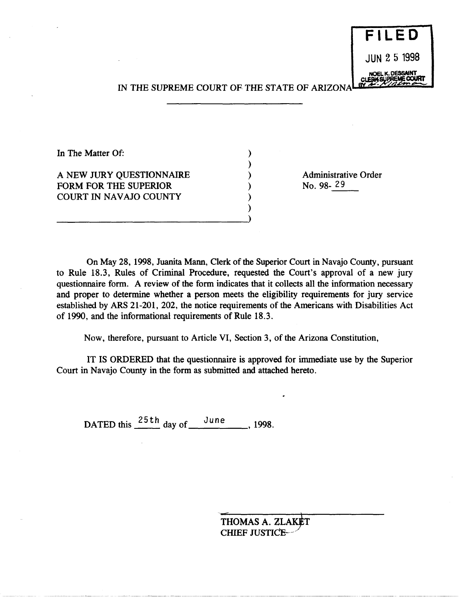JUN 2 5 1998

**VOEL K. DESSAIN** 

**FILED** 

## IN THE SUPREME COURT OF THE STATE OF ARIZONA

) ) ) ) ) )

In The Matter Of:

A NEW JURY QUESTIONNAIRE FORM FOR THE SUPERIOR COURT IN NAVAJO COUNTY

-------------------------------)

Administrative Order<br>No. 98-29 No. 98- 29

On May 28, 1998, Juanita Mann, Clerk of the Superior Court in Navajo County, pursuant to Rule 18.3, Rules of Criminal Procedure, requested the Court's approval of a new jury questionnaire form. A review of the form indicates that it collects all the information necessary and proper to determine whether a person meets the eligibility requirements for jury service established by ARS 21-201, 202, the notice requirements of the Americans with Disabilities Act of 1990, and the informational requirements of Rule 18.3.

Now, therefore, pursuant to Article VI, Section 3, of the Arizona Constitution,

IT IS ORDERED that the questionnaire is approved for immediate use by the Superior Court in Navajo County in the form as submitted and attached hereto.

DATED this  $\frac{25\text{th}}{4}$  day of  $\frac{\text{June}}{\text{June}}$ , 1998.

THOMAS A. ZLAKET CHIEF JUSTICE-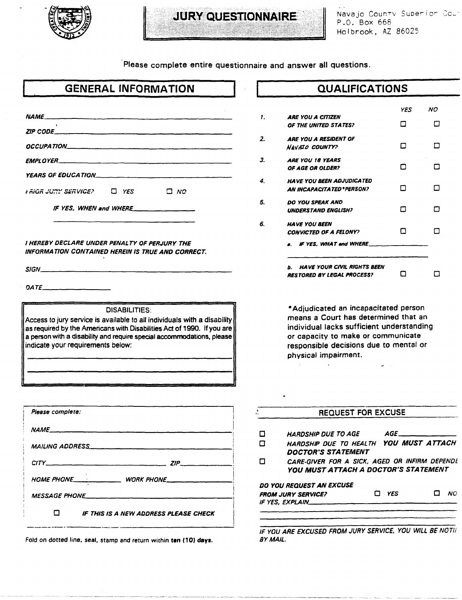

## JURY QUESTIONNAIRE

Navajo County Superior Cour P.O. Box 668 Holbrook, AZ 86025

Please complete entire questionnaire and answer all questions.

|                  | <b>GENERAL INFORMATION</b>                                                                                                                         |
|------------------|----------------------------------------------------------------------------------------------------------------------------------------------------|
|                  |                                                                                                                                                    |
| ZIP CODE         |                                                                                                                                                    |
|                  |                                                                                                                                                    |
| EMPLOYER_        |                                                                                                                                                    |
|                  | <b>YEARS OF EDUCATION___</b>                                                                                                                       |
|                  | FRIGR JUNY SERVICE?<br>O YES<br>$\square$ $N$ $\square$                                                                                            |
|                  |                                                                                                                                                    |
|                  | IF YES, WHEN and WHERE                                                                                                                             |
|                  |                                                                                                                                                    |
|                  | I HEREBY DECLARE UNDER PENALTY OF PERJURY THE<br>INFORMATION CONTAINED HEREIN IS TRUE AND CORRECT.                                                 |
|                  |                                                                                                                                                    |
| SIGN______       |                                                                                                                                                    |
| 0ATE_________    |                                                                                                                                                    |
|                  | <b>DISABILITIES:</b>                                                                                                                               |
|                  | Access to jury service is available to all individuals with a disability<br>as required by the Americans with Disabilities Act of 1990. If you are |
|                  | a person with a disability and require special accommodations, please                                                                              |
|                  | indicate your requirements below:                                                                                                                  |
|                  |                                                                                                                                                    |
|                  |                                                                                                                                                    |
|                  |                                                                                                                                                    |
| Please complete: |                                                                                                                                                    |
|                  |                                                                                                                                                    |
|                  | MAILING ADDRESS                                                                                                                                    |
|                  |                                                                                                                                                    |
|                  | $CITY$ $ZIP$                                                                                                                                       |
|                  |                                                                                                                                                    |
|                  | <i>MESSAGE PHONE</i>                                                                                                                               |
|                  | $\blacksquare$<br><b>IF THIS IS A NEW ADDRESS PLEASE CHECK</b>                                                                                     |

Fold on dotted line, seal, stamp and return within ten (10) days.

---------------------------------------"

## **QUALIFICA TIONS**

|    |                                                                               | YES | NO |
|----|-------------------------------------------------------------------------------|-----|----|
| 1. | <b>ARE YOU A CITIZEN</b><br>OF THE UNITED STATES?                             | п   | П  |
| 2. | ARE YOU A RESIDENT OF<br>NAVAIO COUNTY?                                       | П   | П  |
| З. | <b>ARE YOU 18 YEARS</b><br><b>OF AGE OR OLDER?</b>                            | п   |    |
| 4. | <b>HAVE YOU BEEN ADJUDICATED</b><br><b>AN INCAPACITATED * PERSON?</b>         | ⊓   | □  |
| 5. | <b>DO YOU SPEAK AND</b><br><b>UNDERSTAND ENGLISH?</b>                         | п   | n  |
| 6. | <b>HAVE YOU BEEN</b><br><b>CONVICTED OF A FELONY?</b>                         | П   |    |
|    | IF YES. WHAT and WHERE<br>a.                                                  |     |    |
|    | <b>HAVE YOUR CIVIL RIGHTS BEEN</b><br>ь.<br><b>RESTORED BY LEGAL PROCESS?</b> |     |    |

• Adjudicated an incapacitated person means a Court has determined that an individual lacks sufficient understanding or capacity to make or communicate responsible decisions due to mental or physical impairment.

 $\bar{I}$ 

| <b>REQUEST FOR EXCUSE</b>                                                             |     |       |     |
|---------------------------------------------------------------------------------------|-----|-------|-----|
| <i><b>HARDSHIP DUE TO AGE</b></i>                                                     |     | AGE — |     |
| HARDSHIP DUE TO HEALTH YOU MUST ATTACH<br><b>DOCTOR'S STATEMENT</b>                   |     |       |     |
| CARE-GIVER FOR A SICK, AGED OR INFIRM DEPENDE<br>YOU MUST ATTACH A DOCTOR'S STATEMENT |     |       |     |
| DO YOU REQUEST AN EXCUSE<br><b>FROM JURY SERVICE?</b>                                 | YES |       | NO. |
| IF YES. EXPLAIN__                                                                     |     |       |     |
|                                                                                       |     |       |     |

IF YOU ARE EXCUSED FROM JURY SERVICE, YOU WILL BE NOTIF BY MAIL.